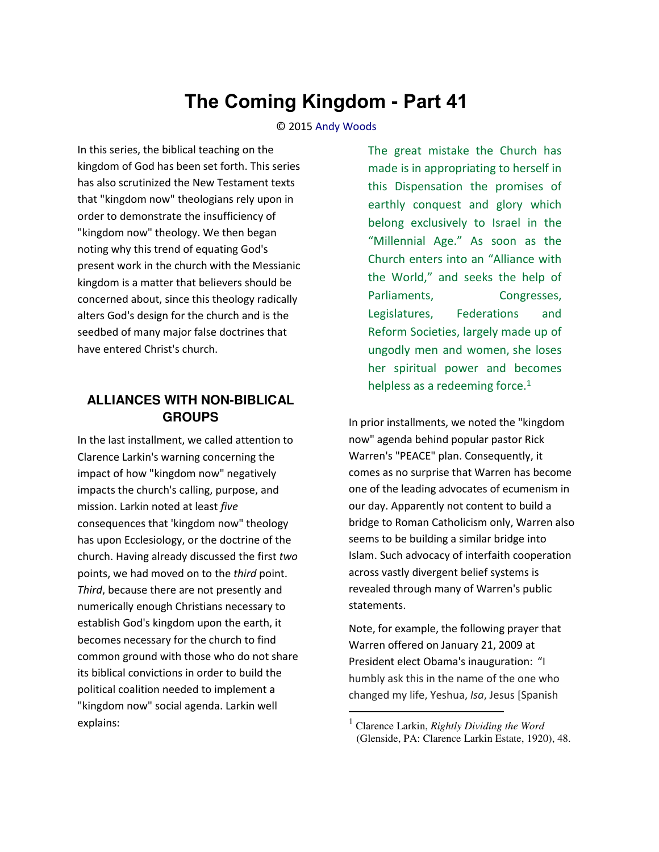## **The Coming Kingdom - Part 41**

© 2015 [Andy Woods](http://www.spiritandtruth.org/id/aw.htm)

In this series, the biblical teaching on the kingdom of God has been set forth. This series has also scrutinized the New Testament texts that "kingdom now" theologians rely upon in order to demonstrate the insufficiency of "kingdom now" theology. We then began noting why this trend of equating God's present work in the church with the Messianic kingdom is a matter that believers should be concerned about, since this theology radically alters God's design for the church and is the seedbed of many major false doctrines that have entered Christ's church.

## **ALLIANCES WITH NON-BIBLICAL GROUPS**

In the last installment, we called attention to Clarence Larkin's warning concerning the impact of how "kingdom now" negatively impacts the church's calling, purpose, and mission. Larkin noted at least *five* consequences that 'kingdom now" theology has upon Ecclesiology, or the doctrine of the church. Having already discussed the first *two* points, we had moved on to the *third* point. *Third*, because there are not presently and numerically enough Christians necessary to establish God's kingdom upon the earth, it becomes necessary for the church to find common ground with those who do not share its biblical convictions in order to build the political coalition needed to implement a "kingdom now" social agenda. Larkin well explains:

The great mistake the Church has made is in appropriating to herself in this Dispensation the promises of earthly conquest and glory which belong exclusively to Israel in the "Millennial Age." As soon as the Church enters into an "Alliance with the World," and seeks the help of Parliaments, Congresses, Legislatures, Federations and Reform Societies, largely made up of ungodly men and women, she loses her spiritual power and becomes helpless as a redeeming force. $1$ 

In prior installments, we noted the "kingdom now" agenda behind popular pastor Rick Warren's "PEACE" plan. Consequently, it comes as no surprise that Warren has become one of the leading advocates of ecumenism in our day. Apparently not content to build a bridge to Roman Catholicism only, Warren also seems to be building a similar bridge into Islam. Such advocacy of interfaith cooperation across vastly divergent belief systems is revealed through many of Warren's public statements.

Note, for example, the following prayer that Warren offered on January 21, 2009 at President elect Obama's inauguration: "I humbly ask this in the name of the one who changed my life, Yeshua, *Isa*, Jesus [Spanish

 $\overline{a}$ 

<sup>1</sup> Clarence Larkin, *Rightly Dividing the Word* (Glenside, PA: Clarence Larkin Estate, 1920), 48.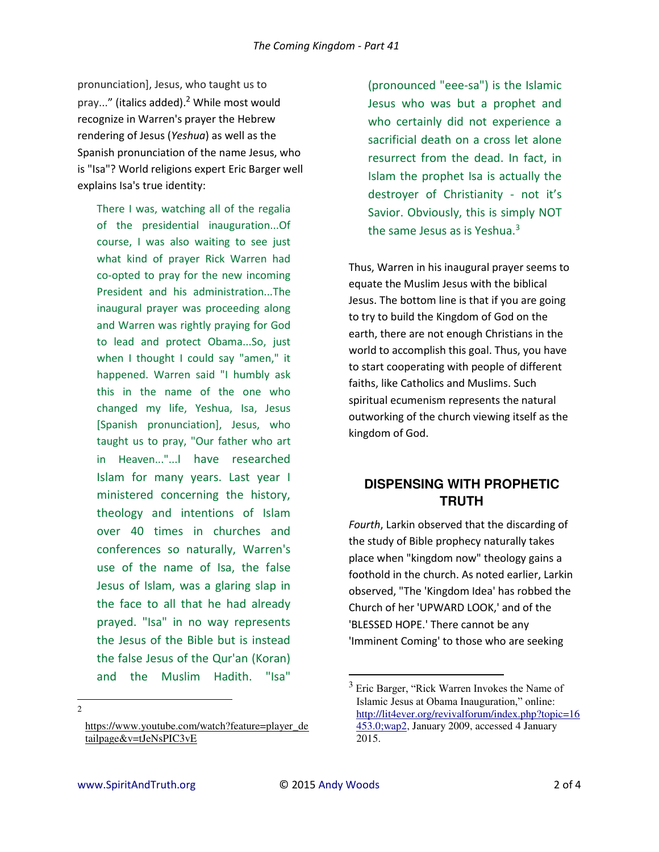pronunciation], Jesus, who taught us to pray..." (italics added).<sup>2</sup> While most would recognize in Warren's prayer the Hebrew rendering of Jesus (*Yeshua*) as well as the Spanish pronunciation of the name Jesus, who is "Isa"? World religions expert Eric Barger well explains Isa's true identity:

There I was, watching all of the regalia of the presidential inauguration...Of course, I was also waiting to see just what kind of prayer Rick Warren had co-opted to pray for the new incoming President and his administration...The inaugural prayer was proceeding along and Warren was rightly praying for God to lead and protect Obama...So, just when I thought I could say "amen," it happened. Warren said "I humbly ask this in the name of the one who changed my life, Yeshua, Isa, Jesus [Spanish pronunciation], Jesus, who taught us to pray, "Our father who art in Heaven..."...I have researched Islam for many years. Last year I ministered concerning the history, theology and intentions of Islam over 40 times in churches and conferences so naturally, Warren's use of the name of Isa, the false Jesus of Islam, was a glaring slap in the face to all that he had already prayed. "Isa" in no way represents the Jesus of the Bible but is instead the false Jesus of the Qur'an (Koran) and the Muslim Hadith. "Isa"

 $\overline{\phantom{0}}$  $\mathfrak{D}$ 

(pronounced "eee-sa") is the Islamic Jesus who was but a prophet and who certainly did not experience a sacrificial death on a cross let alone resurrect from the dead. In fact, in Islam the prophet Isa is actually the destroyer of Christianity - not it's Savior. Obviously, this is simply NOT the same Jesus as is Yeshua. $3$ 

Thus, Warren in his inaugural prayer seems to equate the Muslim Jesus with the biblical Jesus. The bottom line is that if you are going to try to build the Kingdom of God on the earth, there are not enough Christians in the world to accomplish this goal. Thus, you have to start cooperating with people of different faiths, like Catholics and Muslims. Such spiritual ecumenism represents the natural outworking of the church viewing itself as the kingdom of God.

## **DISPENSING WITH PROPHETIC TRUTH**

*Fourth*, Larkin observed that the discarding of the study of Bible prophecy naturally takes place when "kingdom now" theology gains a foothold in the church. As noted earlier, Larkin observed, "The 'Kingdom Idea' has robbed the Church of her 'UPWARD LOOK,' and of the 'BLESSED HOPE.' There cannot be any 'Imminent Coming' to those who are seeking

 $\overline{\phantom{0}}$ 

https://www.youtube.com/watch?feature=player\_de tailpage&v=tJeNsPIC3vE

 $3$  Eric Barger, "Rick Warren Invokes the Name of Islamic Jesus at Obama Inauguration," online: [http://lit4ever.org/revivalforum/index.php?topic=16](http://lit4ever.org/revivalforum/index.php?topic=16453.0;wap2) [453.0;wap2,](http://lit4ever.org/revivalforum/index.php?topic=16453.0;wap2) January 2009, accessed 4 January 2015.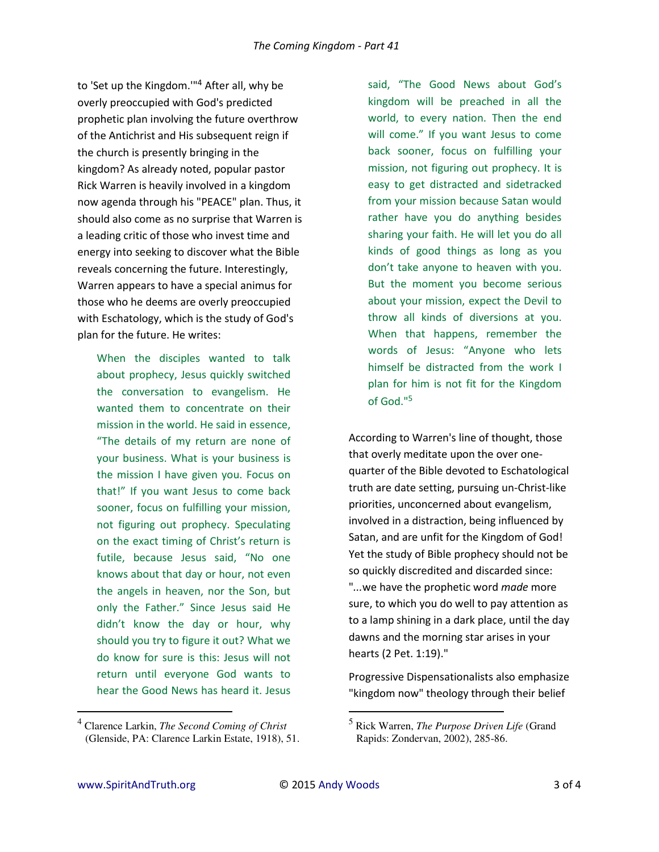to 'Set up the Kingdom."<sup>4</sup> After all, why be overly preoccupied with God's predicted prophetic plan involving the future overthrow of the Antichrist and His subsequent reign if the church is presently bringing in the kingdom? As already noted, popular pastor Rick Warren is heavily involved in a kingdom now agenda through his "PEACE" plan. Thus, it should also come as no surprise that Warren is a leading critic of those who invest time and energy into seeking to discover what the Bible reveals concerning the future. Interestingly, Warren appears to have a special animus for those who he deems are overly preoccupied with Eschatology, which is the study of God's plan for the future. He writes:

When the disciples wanted to talk about prophecy, Jesus quickly switched the conversation to evangelism. He wanted them to concentrate on their mission in the world. He said in essence, "The details of my return are none of your business. What is your business is the mission I have given you. Focus on that!" If you want Jesus to come back sooner, focus on fulfilling your mission, not figuring out prophecy. Speculating on the exact timing of Christ's return is futile, because Jesus said, "No one knows about that day or hour, not even the angels in heaven, nor the Son, but only the Father." Since Jesus said He didn't know the day or hour, why should you try to figure it out? What we do know for sure is this: Jesus will not return until everyone God wants to hear the Good News has heard it. Jesus

4 Clarence Larkin, *The Second Coming of Christ* (Glenside, PA: Clarence Larkin Estate, 1918), 51. said, "The Good News about God's kingdom will be preached in all the world, to every nation. Then the end will come." If you want Jesus to come back sooner, focus on fulfilling your mission, not figuring out prophecy. It is easy to get distracted and sidetracked from your mission because Satan would rather have you do anything besides sharing your faith. He will let you do all kinds of good things as long as you don't take anyone to heaven with you. But the moment you become serious about your mission, expect the Devil to throw all kinds of diversions at you. When that happens, remember the words of Jesus: "Anyone who lets himself be distracted from the work I plan for him is not fit for the Kingdom of God."<sup>5</sup>

According to Warren's line of thought, those that overly meditate upon the over onequarter of the Bible devoted to Eschatological truth are date setting, pursuing un-Christ-like priorities, unconcerned about evangelism, involved in a distraction, being influenced by Satan, and are unfit for the Kingdom of God! Yet the study of Bible prophecy should not be so quickly discredited and discarded since: "*...*we have the prophetic word *made* more sure, to which you do well to pay attention as to a lamp shining in a dark place, until the day dawns and the morning star arises in your hearts (2 Pet. 1:19)."

Progressive Dispensationalists also emphasize "kingdom now" theology through their belief

 $\overline{a}$ 

 $\overline{a}$ 

<sup>5</sup> Rick Warren, *The Purpose Driven Life* (Grand Rapids: Zondervan, 2002), 285-86.